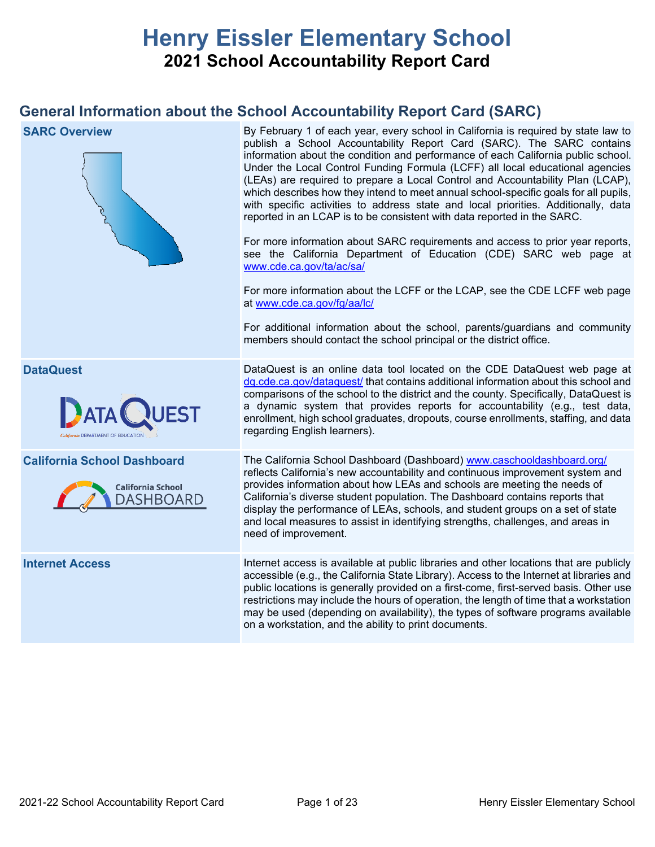# **Henry Eissler Elementary School 2021 School Accountability Report Card**

## **General Information about the School Accountability Report Card (SARC)**

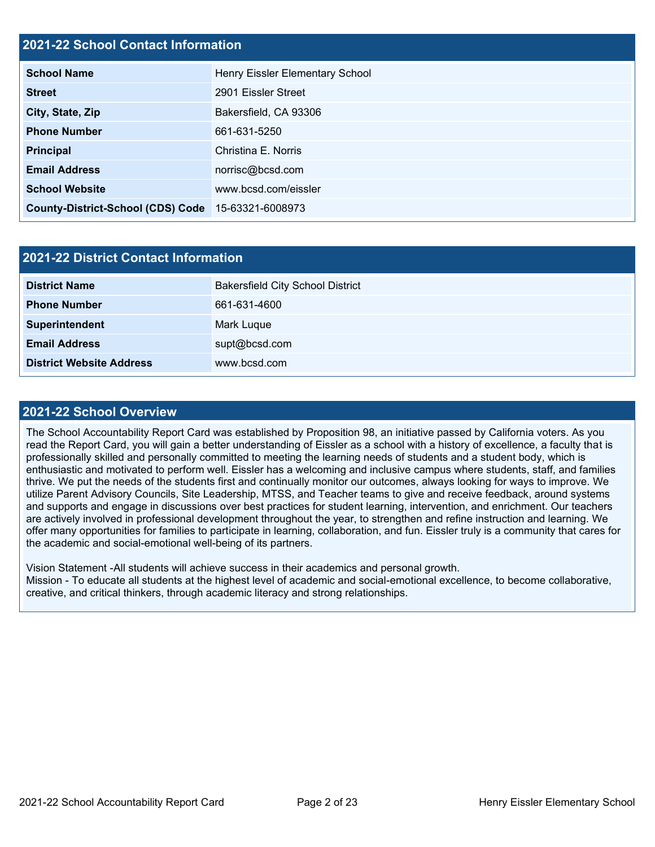## **2021-22 School Contact Information**

| <b>School Name</b>                       | Henry Eissler Elementary School |  |  |  |  |
|------------------------------------------|---------------------------------|--|--|--|--|
| <b>Street</b>                            | 2901 Eissler Street             |  |  |  |  |
| City, State, Zip                         | Bakersfield, CA 93306           |  |  |  |  |
| <b>Phone Number</b>                      | 661-631-5250                    |  |  |  |  |
| <b>Principal</b>                         | Christina E. Norris             |  |  |  |  |
| <b>Email Address</b>                     | norrisc@bcsd.com                |  |  |  |  |
| <b>School Website</b>                    | www.bcsd.com/eissler            |  |  |  |  |
| <b>County-District-School (CDS) Code</b> | 15-63321-6008973                |  |  |  |  |

| 2021-22 District Contact Information |                                         |  |  |  |
|--------------------------------------|-----------------------------------------|--|--|--|
| <b>District Name</b>                 | <b>Bakersfield City School District</b> |  |  |  |
| <b>Phone Number</b>                  | 661-631-4600                            |  |  |  |
| Superintendent                       | Mark Luque                              |  |  |  |
| <b>Email Address</b>                 | supt@bcsd.com                           |  |  |  |
| <b>District Website Address</b>      | www.bcsd.com                            |  |  |  |

### **2021-22 School Overview**

The School Accountability Report Card was established by Proposition 98, an initiative passed by California voters. As you read the Report Card, you will gain a better understanding of Eissler as a school with a history of excellence, a faculty that is professionally skilled and personally committed to meeting the learning needs of students and a student body, which is enthusiastic and motivated to perform well. Eissler has a welcoming and inclusive campus where students, staff, and families thrive. We put the needs of the students first and continually monitor our outcomes, always looking for ways to improve. We utilize Parent Advisory Councils, Site Leadership, MTSS, and Teacher teams to give and receive feedback, around systems and supports and engage in discussions over best practices for student learning, intervention, and enrichment. Our teachers are actively involved in professional development throughout the year, to strengthen and refine instruction and learning. We offer many opportunities for families to participate in learning, collaboration, and fun. Eissler truly is a community that cares for the academic and social-emotional well-being of its partners.

Vision Statement -All students will achieve success in their academics and personal growth. Mission - To educate all students at the highest level of academic and social-emotional excellence, to become collaborative, creative, and critical thinkers, through academic literacy and strong relationships.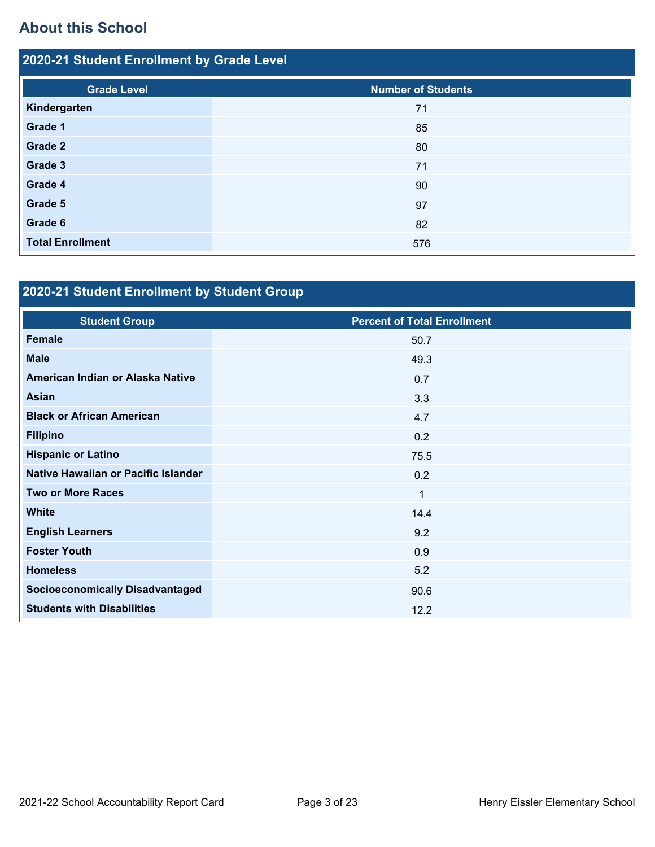# **About this School**

| 2020-21 Student Enrollment by Grade Level |                           |  |  |  |
|-------------------------------------------|---------------------------|--|--|--|
| <b>Grade Level</b>                        | <b>Number of Students</b> |  |  |  |
| Kindergarten                              | 71                        |  |  |  |
| Grade 1                                   | 85                        |  |  |  |
| Grade 2                                   | 80                        |  |  |  |
| Grade 3                                   | 71                        |  |  |  |
| Grade 4                                   | 90                        |  |  |  |
| Grade 5                                   | 97                        |  |  |  |
| Grade 6                                   | 82                        |  |  |  |
| <b>Total Enrollment</b>                   | 576                       |  |  |  |

# **2020-21 Student Enrollment by Student Group**

| <b>Student Group</b>                   | <b>Percent of Total Enrollment</b> |
|----------------------------------------|------------------------------------|
| <b>Female</b>                          | 50.7                               |
| <b>Male</b>                            | 49.3                               |
| American Indian or Alaska Native       | 0.7                                |
| Asian                                  | 3.3                                |
| <b>Black or African American</b>       | 4.7                                |
| <b>Filipino</b>                        | 0.2                                |
| <b>Hispanic or Latino</b>              | 75.5                               |
| Native Hawaiian or Pacific Islander    | 0.2                                |
| <b>Two or More Races</b>               | $\mathbf 1$                        |
| <b>White</b>                           | 14.4                               |
| <b>English Learners</b>                | 9.2                                |
| <b>Foster Youth</b>                    | 0.9                                |
| <b>Homeless</b>                        | 5.2                                |
| <b>Socioeconomically Disadvantaged</b> | 90.6                               |
| <b>Students with Disabilities</b>      | 12.2                               |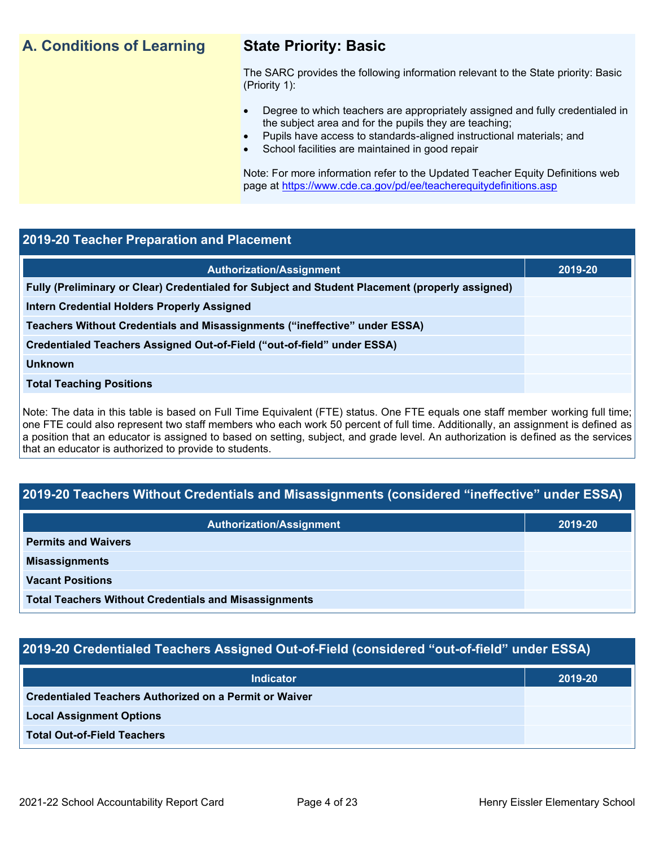## **A. Conditions of Learning State Priority: Basic**

The SARC provides the following information relevant to the State priority: Basic (Priority 1):

- Degree to which teachers are appropriately assigned and fully credentialed in the subject area and for the pupils they are teaching;
	- Pupils have access to standards-aligned instructional materials; and
- School facilities are maintained in good repair

Note: For more information refer to the Updated Teacher Equity Definitions web page at<https://www.cde.ca.gov/pd/ee/teacherequitydefinitions.asp>

### **2019-20 Teacher Preparation and Placement**

| <b>Authorization/Assignment</b>                                                                 | 2019-20 |
|-------------------------------------------------------------------------------------------------|---------|
| Fully (Preliminary or Clear) Credentialed for Subject and Student Placement (properly assigned) |         |
| Intern Credential Holders Properly Assigned                                                     |         |
| Teachers Without Credentials and Misassignments ("ineffective" under ESSA)                      |         |
| Credentialed Teachers Assigned Out-of-Field ("out-of-field" under ESSA)                         |         |
| <b>Unknown</b>                                                                                  |         |
| <b>Total Teaching Positions</b>                                                                 |         |
|                                                                                                 |         |

Note: The data in this table is based on Full Time Equivalent (FTE) status. One FTE equals one staff member working full time; one FTE could also represent two staff members who each work 50 percent of full time. Additionally, an assignment is defined as a position that an educator is assigned to based on setting, subject, and grade level. An authorization is defined as the services that an educator is authorized to provide to students.

## **2019-20 Teachers Without Credentials and Misassignments (considered "ineffective" under ESSA)**

| <b>Authorization/Assignment</b>                              | 2019-20 |
|--------------------------------------------------------------|---------|
| <b>Permits and Waivers</b>                                   |         |
| <b>Misassignments</b>                                        |         |
| <b>Vacant Positions</b>                                      |         |
| <b>Total Teachers Without Credentials and Misassignments</b> |         |

## **2019-20 Credentialed Teachers Assigned Out-of-Field (considered "out-of-field" under ESSA)**

| <b>Indicator</b>                                       | 2019-20 |
|--------------------------------------------------------|---------|
| Credentialed Teachers Authorized on a Permit or Waiver |         |
| <b>Local Assignment Options</b>                        |         |
| <b>Total Out-of-Field Teachers</b>                     |         |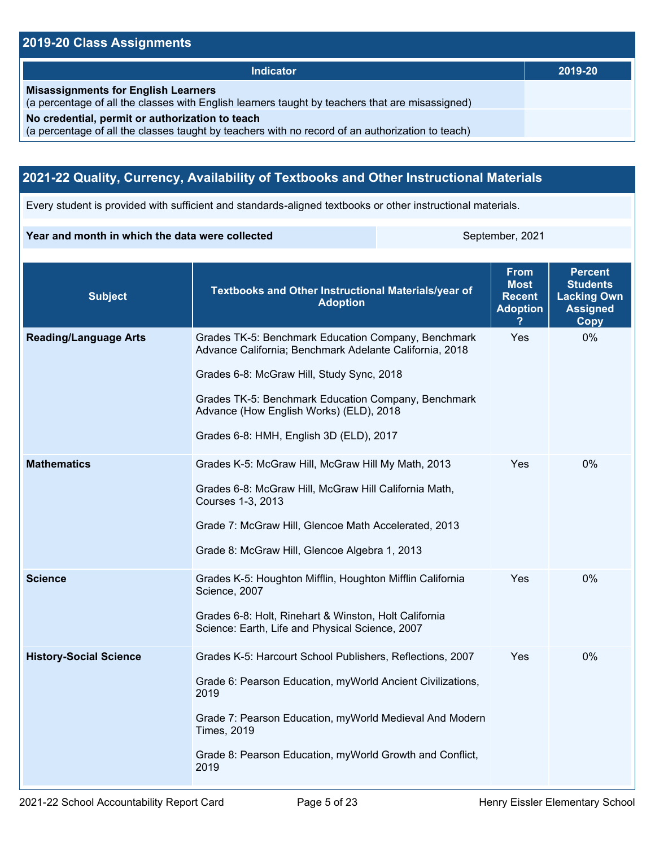## **2019-20 Class Assignments**

| <b>Indicator</b>                                                                                                                                    | 2019-20 |
|-----------------------------------------------------------------------------------------------------------------------------------------------------|---------|
| <b>Misassignments for English Learners</b><br>(a percentage of all the classes with English learners taught by teachers that are misassigned)       |         |
| No credential, permit or authorization to teach<br>(a percentage of all the classes taught by teachers with no record of an authorization to teach) |         |

## **2021-22 Quality, Currency, Availability of Textbooks and Other Instructional Materials**

Every student is provided with sufficient and standards-aligned textbooks or other instructional materials.

### **Year and month in which the data were collected** September, 2021

| <b>Subject</b>                | Textbooks and Other Instructional Materials/year of<br><b>Adoption</b>                                                                                                                                                                                                                                   | <b>From</b><br><b>Most</b><br><b>Recent</b><br><b>Adoption</b> | <b>Percent</b><br><b>Students</b><br><b>Lacking Own</b><br><b>Assigned</b><br><b>Copy</b> |
|-------------------------------|----------------------------------------------------------------------------------------------------------------------------------------------------------------------------------------------------------------------------------------------------------------------------------------------------------|----------------------------------------------------------------|-------------------------------------------------------------------------------------------|
| <b>Reading/Language Arts</b>  | Grades TK-5: Benchmark Education Company, Benchmark<br>Advance California; Benchmark Adelante California, 2018<br>Grades 6-8: McGraw Hill, Study Sync, 2018<br>Grades TK-5: Benchmark Education Company, Benchmark<br>Advance (How English Works) (ELD), 2018<br>Grades 6-8: HMH, English 3D (ELD), 2017 | Yes                                                            | 0%                                                                                        |
| <b>Mathematics</b>            | Grades K-5: McGraw Hill, McGraw Hill My Math, 2013<br>Grades 6-8: McGraw Hill, McGraw Hill California Math,<br>Courses 1-3, 2013<br>Grade 7: McGraw Hill, Glencoe Math Accelerated, 2013<br>Grade 8: McGraw Hill, Glencoe Algebra 1, 2013                                                                | Yes                                                            | 0%                                                                                        |
| <b>Science</b>                | Grades K-5: Houghton Mifflin, Houghton Mifflin California<br>Science, 2007<br>Grades 6-8: Holt, Rinehart & Winston, Holt California<br>Science: Earth, Life and Physical Science, 2007                                                                                                                   | Yes                                                            | $0\%$                                                                                     |
| <b>History-Social Science</b> | Grades K-5: Harcourt School Publishers, Reflections, 2007<br>Grade 6: Pearson Education, myWorld Ancient Civilizations,<br>2019<br>Grade 7: Pearson Education, myWorld Medieval And Modern<br><b>Times, 2019</b><br>Grade 8: Pearson Education, myWorld Growth and Conflict,<br>2019                     | Yes                                                            | 0%                                                                                        |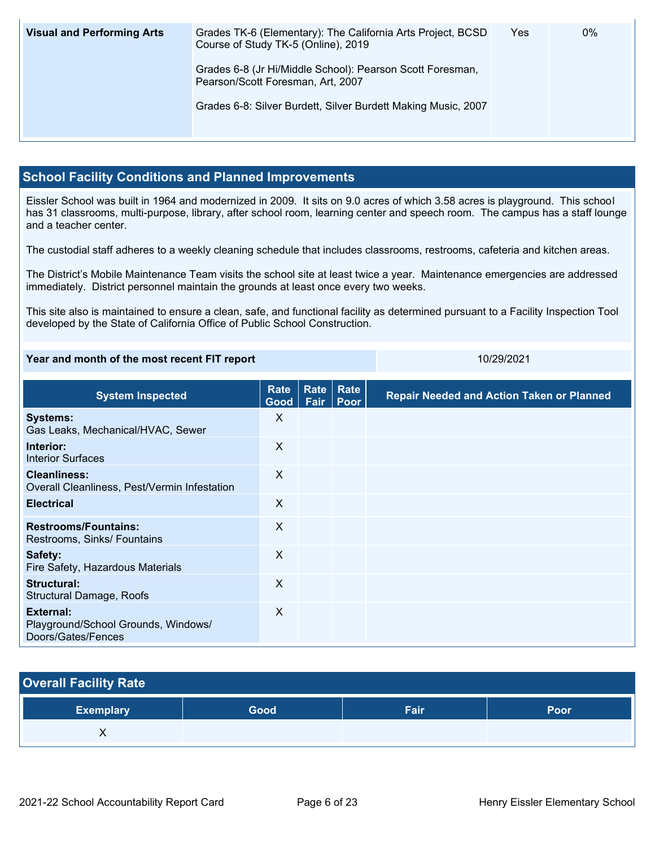| <b>Visual and Performing Arts</b> | Grades TK-6 (Elementary): The California Arts Project, BCSD<br>Course of Study TK-5 (Online), 2019 | Yes | $0\%$ |
|-----------------------------------|----------------------------------------------------------------------------------------------------|-----|-------|
|                                   | Grades 6-8 (Jr Hi/Middle School): Pearson Scott Foresman,<br>Pearson/Scott Foresman, Art, 2007     |     |       |
|                                   | Grades 6-8: Silver Burdett, Silver Burdett Making Music, 2007                                      |     |       |

## **School Facility Conditions and Planned Improvements**

Eissler School was built in 1964 and modernized in 2009. It sits on 9.0 acres of which 3.58 acres is playground. This school has 31 classrooms, multi-purpose, library, after school room, learning center and speech room. The campus has a staff lounge and a teacher center.

The custodial staff adheres to a weekly cleaning schedule that includes classrooms, restrooms, cafeteria and kitchen areas.

The District's Mobile Maintenance Team visits the school site at least twice a year. Maintenance emergencies are addressed immediately. District personnel maintain the grounds at least once every two weeks.

This site also is maintained to ensure a clean, safe, and functional facility as determined pursuant to a Facility Inspection Tool developed by the State of California Office of Public School Construction.

### **Year and month of the most recent FIT report** 10/29/2021

| <b>System Inspected</b>                                                | Rate<br>Good | <b>Rate</b><br>Fair | Rate<br><b>Poor</b> | <b>Repair Needed and Action Taken or Planned</b> |
|------------------------------------------------------------------------|--------------|---------------------|---------------------|--------------------------------------------------|
| <b>Systems:</b><br>Gas Leaks, Mechanical/HVAC, Sewer                   | X            |                     |                     |                                                  |
| Interior:<br><b>Interior Surfaces</b>                                  | X            |                     |                     |                                                  |
| <b>Cleanliness:</b><br>Overall Cleanliness, Pest/Vermin Infestation    | X            |                     |                     |                                                  |
| <b>Electrical</b>                                                      | X            |                     |                     |                                                  |
| <b>Restrooms/Fountains:</b><br>Restrooms, Sinks/ Fountains             | X            |                     |                     |                                                  |
| Safety:<br>Fire Safety, Hazardous Materials                            | X            |                     |                     |                                                  |
| <b>Structural:</b><br><b>Structural Damage, Roofs</b>                  | X            |                     |                     |                                                  |
| External:<br>Playground/School Grounds, Windows/<br>Doors/Gates/Fences | $\times$     |                     |                     |                                                  |

| <b>Overall Facility Rate</b> |      |      |      |  |  |  |
|------------------------------|------|------|------|--|--|--|
| <b>Exemplary</b>             | Good | Fair | Poor |  |  |  |
|                              |      |      |      |  |  |  |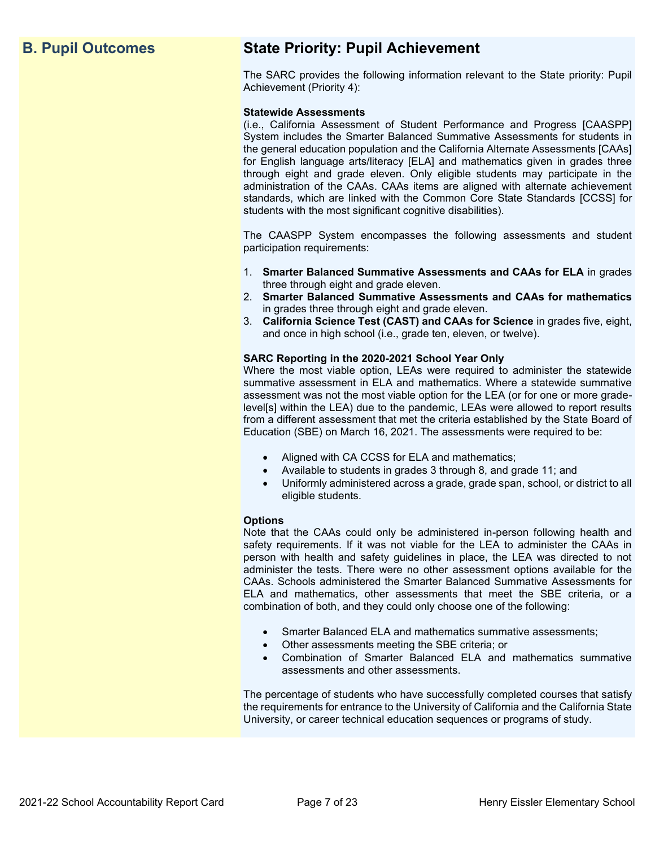## **B. Pupil Outcomes State Priority: Pupil Achievement**

The SARC provides the following information relevant to the State priority: Pupil Achievement (Priority 4):

### **Statewide Assessments**

(i.e., California Assessment of Student Performance and Progress [CAASPP] System includes the Smarter Balanced Summative Assessments for students in the general education population and the California Alternate Assessments [CAAs] for English language arts/literacy [ELA] and mathematics given in grades three through eight and grade eleven. Only eligible students may participate in the administration of the CAAs. CAAs items are aligned with alternate achievement standards, which are linked with the Common Core State Standards [CCSS] for students with the most significant cognitive disabilities).

The CAASPP System encompasses the following assessments and student participation requirements:

- 1. **Smarter Balanced Summative Assessments and CAAs for ELA** in grades three through eight and grade eleven.
- 2. **Smarter Balanced Summative Assessments and CAAs for mathematics** in grades three through eight and grade eleven.
- 3. **California Science Test (CAST) and CAAs for Science** in grades five, eight, and once in high school (i.e., grade ten, eleven, or twelve).

### **SARC Reporting in the 2020-2021 School Year Only**

Where the most viable option, LEAs were required to administer the statewide summative assessment in ELA and mathematics. Where a statewide summative assessment was not the most viable option for the LEA (or for one or more gradelevel[s] within the LEA) due to the pandemic, LEAs were allowed to report results from a different assessment that met the criteria established by the State Board of Education (SBE) on March 16, 2021. The assessments were required to be:

- Aligned with CA CCSS for ELA and mathematics;
- Available to students in grades 3 through 8, and grade 11; and
- Uniformly administered across a grade, grade span, school, or district to all eligible students.

### **Options**

Note that the CAAs could only be administered in-person following health and safety requirements. If it was not viable for the LEA to administer the CAAs in person with health and safety guidelines in place, the LEA was directed to not administer the tests. There were no other assessment options available for the CAAs. Schools administered the Smarter Balanced Summative Assessments for ELA and mathematics, other assessments that meet the SBE criteria, or a combination of both, and they could only choose one of the following:

- Smarter Balanced ELA and mathematics summative assessments;
- Other assessments meeting the SBE criteria; or
- Combination of Smarter Balanced ELA and mathematics summative assessments and other assessments.

The percentage of students who have successfully completed courses that satisfy the requirements for entrance to the University of California and the California State University, or career technical education sequences or programs of study.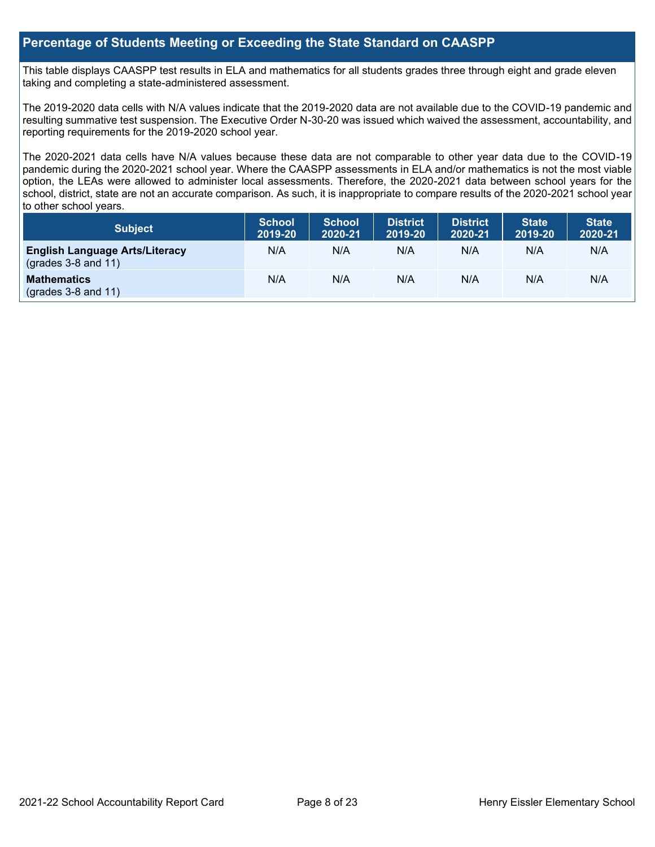### **Percentage of Students Meeting or Exceeding the State Standard on CAASPP**

This table displays CAASPP test results in ELA and mathematics for all students grades three through eight and grade eleven taking and completing a state-administered assessment.

The 2019-2020 data cells with N/A values indicate that the 2019-2020 data are not available due to the COVID-19 pandemic and resulting summative test suspension. The Executive Order N-30-20 was issued which waived the assessment, accountability, and reporting requirements for the 2019-2020 school year.

The 2020-2021 data cells have N/A values because these data are not comparable to other year data due to the COVID-19 pandemic during the 2020-2021 school year. Where the CAASPP assessments in ELA and/or mathematics is not the most viable option, the LEAs were allowed to administer local assessments. Therefore, the 2020-2021 data between school years for the school, district, state are not an accurate comparison. As such, it is inappropriate to compare results of the 2020-2021 school year to other school years.

| Subject                                                              | <b>School</b><br>2019-20 | <b>School</b><br>2020-21 | <b>District</b><br>2019-20 | <b>District</b><br>2020-21 | <b>State</b><br>2019-20 | <b>State</b><br>2020-21 |
|----------------------------------------------------------------------|--------------------------|--------------------------|----------------------------|----------------------------|-------------------------|-------------------------|
| <b>English Language Arts/Literacy</b><br>$\left($ grades 3-8 and 11) | N/A                      | N/A                      | N/A                        | N/A                        | N/A                     | N/A                     |
| <b>Mathematics</b><br>$(grades 3-8 and 11)$                          | N/A                      | N/A                      | N/A                        | N/A                        | N/A                     | N/A                     |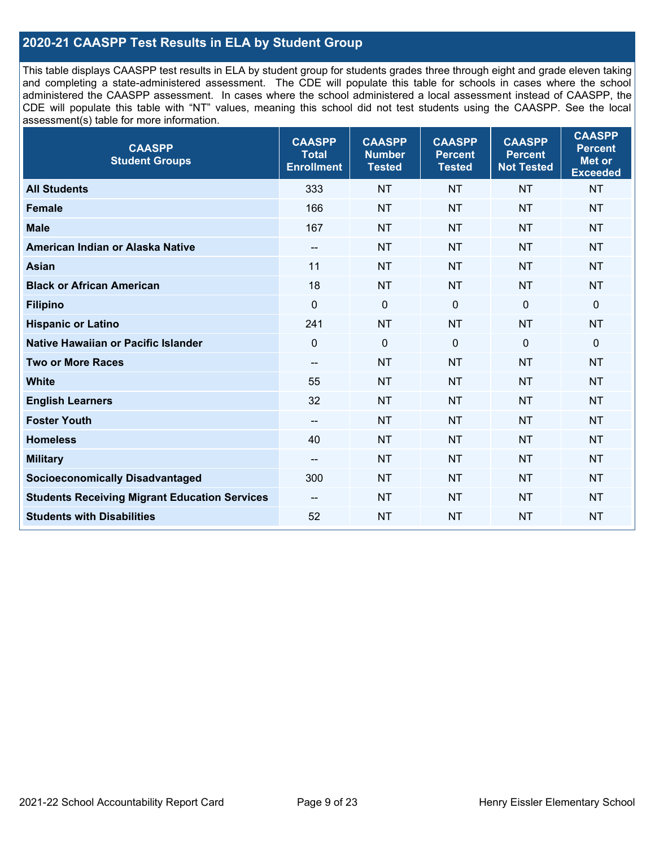## **2020-21 CAASPP Test Results in ELA by Student Group**

This table displays CAASPP test results in ELA by student group for students grades three through eight and grade eleven taking and completing a state-administered assessment. The CDE will populate this table for schools in cases where the school administered the CAASPP assessment. In cases where the school administered a local assessment instead of CAASPP, the CDE will populate this table with "NT" values, meaning this school did not test students using the CAASPP. See the local assessment(s) table for more information.

| <b>CAASPP</b><br><b>Student Groups</b>               | <b>CAASPP</b><br><b>Total</b><br><b>Enrollment</b> | <b>CAASPP</b><br><b>Number</b><br><b>Tested</b> | <b>CAASPP</b><br><b>Percent</b><br><b>Tested</b> | <b>CAASPP</b><br><b>Percent</b><br><b>Not Tested</b> | <b>CAASPP</b><br><b>Percent</b><br>Met or<br><b>Exceeded</b> |
|------------------------------------------------------|----------------------------------------------------|-------------------------------------------------|--------------------------------------------------|------------------------------------------------------|--------------------------------------------------------------|
| <b>All Students</b>                                  | 333                                                | <b>NT</b>                                       | <b>NT</b>                                        | <b>NT</b>                                            | <b>NT</b>                                                    |
| <b>Female</b>                                        | 166                                                | <b>NT</b>                                       | <b>NT</b>                                        | <b>NT</b>                                            | <b>NT</b>                                                    |
| <b>Male</b>                                          | 167                                                | <b>NT</b>                                       | <b>NT</b>                                        | <b>NT</b>                                            | <b>NT</b>                                                    |
| American Indian or Alaska Native                     | $\overline{\phantom{a}}$                           | <b>NT</b>                                       | <b>NT</b>                                        | <b>NT</b>                                            | <b>NT</b>                                                    |
| <b>Asian</b>                                         | 11                                                 | <b>NT</b>                                       | <b>NT</b>                                        | <b>NT</b>                                            | <b>NT</b>                                                    |
| <b>Black or African American</b>                     | 18                                                 | <b>NT</b>                                       | <b>NT</b>                                        | <b>NT</b>                                            | <b>NT</b>                                                    |
| <b>Filipino</b>                                      | $\mathbf 0$                                        | $\mathbf 0$                                     | $\mathbf 0$                                      | $\mathbf 0$                                          | 0                                                            |
| <b>Hispanic or Latino</b>                            | 241                                                | <b>NT</b>                                       | <b>NT</b>                                        | <b>NT</b>                                            | <b>NT</b>                                                    |
| Native Hawaiian or Pacific Islander                  | $\mathbf 0$                                        | $\mathbf 0$                                     | $\mathbf{0}$                                     | $\overline{0}$                                       | 0                                                            |
| <b>Two or More Races</b>                             | $\overline{\phantom{a}}$                           | <b>NT</b>                                       | <b>NT</b>                                        | <b>NT</b>                                            | <b>NT</b>                                                    |
| <b>White</b>                                         | 55                                                 | <b>NT</b>                                       | <b>NT</b>                                        | <b>NT</b>                                            | <b>NT</b>                                                    |
| <b>English Learners</b>                              | 32                                                 | <b>NT</b>                                       | <b>NT</b>                                        | <b>NT</b>                                            | <b>NT</b>                                                    |
| <b>Foster Youth</b>                                  | $\overline{\phantom{a}}$                           | <b>NT</b>                                       | <b>NT</b>                                        | <b>NT</b>                                            | <b>NT</b>                                                    |
| <b>Homeless</b>                                      | 40                                                 | <b>NT</b>                                       | <b>NT</b>                                        | <b>NT</b>                                            | <b>NT</b>                                                    |
| <b>Military</b>                                      | --                                                 | <b>NT</b>                                       | <b>NT</b>                                        | <b>NT</b>                                            | <b>NT</b>                                                    |
| <b>Socioeconomically Disadvantaged</b>               | 300                                                | <b>NT</b>                                       | <b>NT</b>                                        | <b>NT</b>                                            | <b>NT</b>                                                    |
| <b>Students Receiving Migrant Education Services</b> | $-$                                                | <b>NT</b>                                       | <b>NT</b>                                        | <b>NT</b>                                            | <b>NT</b>                                                    |
| <b>Students with Disabilities</b>                    | 52                                                 | <b>NT</b>                                       | <b>NT</b>                                        | <b>NT</b>                                            | <b>NT</b>                                                    |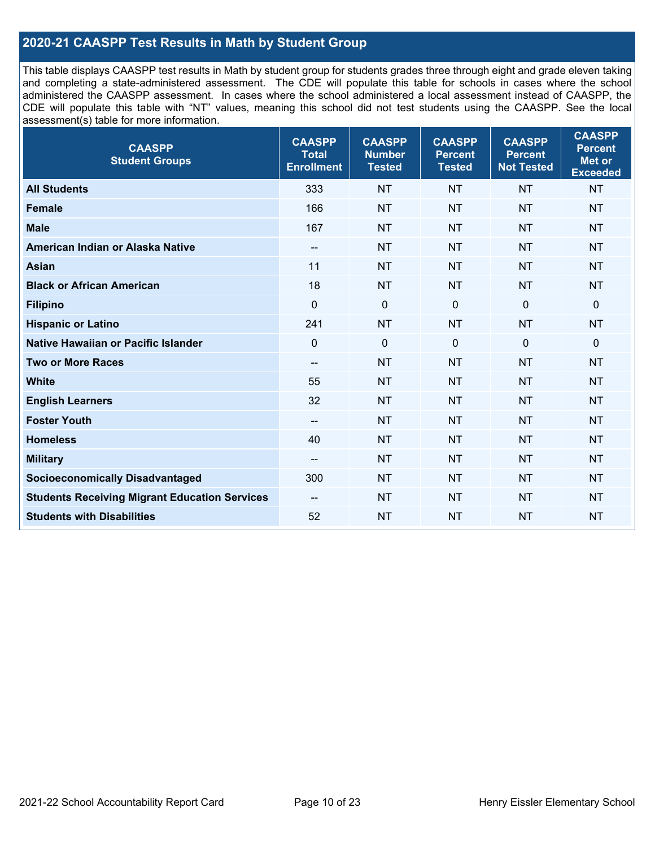## **2020-21 CAASPP Test Results in Math by Student Group**

This table displays CAASPP test results in Math by student group for students grades three through eight and grade eleven taking and completing a state-administered assessment. The CDE will populate this table for schools in cases where the school administered the CAASPP assessment. In cases where the school administered a local assessment instead of CAASPP, the CDE will populate this table with "NT" values, meaning this school did not test students using the CAASPP. See the local assessment(s) table for more information.

| <b>CAASPP</b><br><b>Student Groups</b>               | <b>CAASPP</b><br><b>Total</b><br><b>Enrollment</b> | <b>CAASPP</b><br><b>Number</b><br><b>Tested</b> | <b>CAASPP</b><br><b>Percent</b><br><b>Tested</b> | <b>CAASPP</b><br><b>Percent</b><br><b>Not Tested</b> | <b>CAASPP</b><br><b>Percent</b><br>Met or<br><b>Exceeded</b> |
|------------------------------------------------------|----------------------------------------------------|-------------------------------------------------|--------------------------------------------------|------------------------------------------------------|--------------------------------------------------------------|
| <b>All Students</b>                                  | 333                                                | <b>NT</b>                                       | <b>NT</b>                                        | <b>NT</b>                                            | <b>NT</b>                                                    |
| <b>Female</b>                                        | 166                                                | <b>NT</b>                                       | <b>NT</b>                                        | <b>NT</b>                                            | <b>NT</b>                                                    |
| <b>Male</b>                                          | 167                                                | <b>NT</b>                                       | <b>NT</b>                                        | <b>NT</b>                                            | <b>NT</b>                                                    |
| American Indian or Alaska Native                     | $\overline{\phantom{a}}$                           | <b>NT</b>                                       | <b>NT</b>                                        | <b>NT</b>                                            | <b>NT</b>                                                    |
| <b>Asian</b>                                         | 11                                                 | <b>NT</b>                                       | <b>NT</b>                                        | <b>NT</b>                                            | <b>NT</b>                                                    |
| <b>Black or African American</b>                     | 18                                                 | <b>NT</b>                                       | <b>NT</b>                                        | <b>NT</b>                                            | <b>NT</b>                                                    |
| <b>Filipino</b>                                      | $\mathbf 0$                                        | $\mathbf 0$                                     | $\mathbf 0$                                      | $\mathbf 0$                                          | $\mathbf 0$                                                  |
| <b>Hispanic or Latino</b>                            | 241                                                | <b>NT</b>                                       | <b>NT</b>                                        | <b>NT</b>                                            | <b>NT</b>                                                    |
| Native Hawaiian or Pacific Islander                  | $\mathbf 0$                                        | $\mathbf 0$                                     | $\mathbf 0$                                      | $\overline{0}$                                       | $\mathbf 0$                                                  |
| <b>Two or More Races</b>                             | $\overline{\phantom{a}}$                           | <b>NT</b>                                       | <b>NT</b>                                        | <b>NT</b>                                            | <b>NT</b>                                                    |
| <b>White</b>                                         | 55                                                 | <b>NT</b>                                       | <b>NT</b>                                        | <b>NT</b>                                            | <b>NT</b>                                                    |
| <b>English Learners</b>                              | 32                                                 | <b>NT</b>                                       | <b>NT</b>                                        | <b>NT</b>                                            | <b>NT</b>                                                    |
| <b>Foster Youth</b>                                  | $\overline{\phantom{a}}$                           | <b>NT</b>                                       | <b>NT</b>                                        | <b>NT</b>                                            | <b>NT</b>                                                    |
| <b>Homeless</b>                                      | 40                                                 | <b>NT</b>                                       | <b>NT</b>                                        | <b>NT</b>                                            | <b>NT</b>                                                    |
| <b>Military</b>                                      | --                                                 | <b>NT</b>                                       | <b>NT</b>                                        | <b>NT</b>                                            | <b>NT</b>                                                    |
| <b>Socioeconomically Disadvantaged</b>               | 300                                                | <b>NT</b>                                       | <b>NT</b>                                        | <b>NT</b>                                            | <b>NT</b>                                                    |
| <b>Students Receiving Migrant Education Services</b> | $-$                                                | <b>NT</b>                                       | <b>NT</b>                                        | <b>NT</b>                                            | NT                                                           |
| <b>Students with Disabilities</b>                    | 52                                                 | <b>NT</b>                                       | <b>NT</b>                                        | <b>NT</b>                                            | <b>NT</b>                                                    |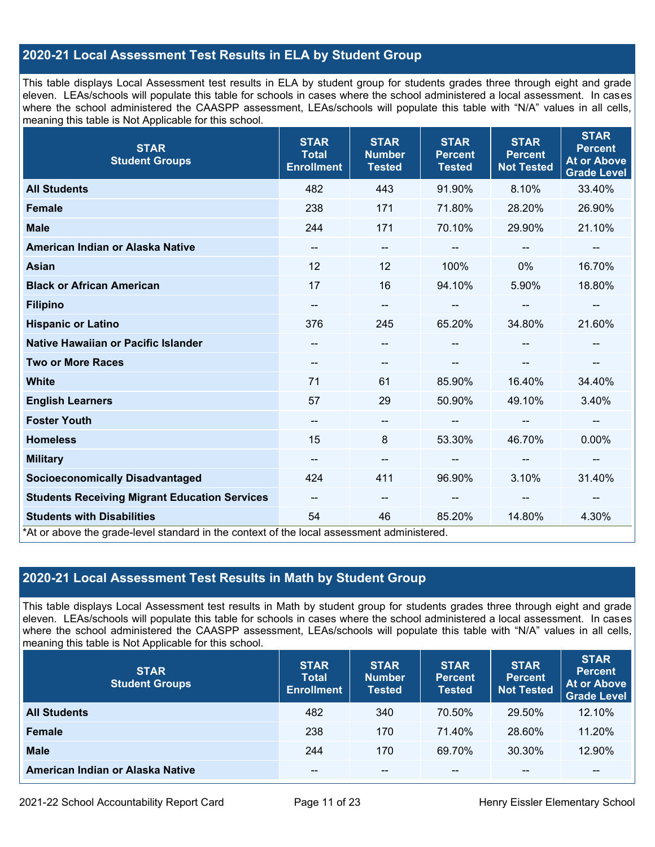## **2020-21 Local Assessment Test Results in ELA by Student Group**

This table displays Local Assessment test results in ELA by student group for students grades three through eight and grade eleven. LEAs/schools will populate this table for schools in cases where the school administered a local assessment. In cases where the school administered the CAASPP assessment, LEAs/schools will populate this table with "N/A" values in all cells, meaning this table is Not Applicable for this school.

| <b>STAR</b><br><b>Student Groups</b>                                                                                            | <b>STAR</b><br><b>Total</b><br><b>Enrollment</b> | <b>STAR</b><br><b>Number</b><br><b>Tested</b> | <b>STAR</b><br><b>Percent</b><br><b>Tested</b> | <b>STAR</b><br><b>Percent</b><br><b>Not Tested</b> | <b>STAR</b><br><b>Percent</b><br><b>At or Above</b><br><b>Grade Level</b> |
|---------------------------------------------------------------------------------------------------------------------------------|--------------------------------------------------|-----------------------------------------------|------------------------------------------------|----------------------------------------------------|---------------------------------------------------------------------------|
| <b>All Students</b>                                                                                                             | 482                                              | 443                                           | 91.90%                                         | 8.10%                                              | 33.40%                                                                    |
| <b>Female</b>                                                                                                                   | 238                                              | 171                                           | 71.80%                                         | 28.20%                                             | 26.90%                                                                    |
| <b>Male</b>                                                                                                                     | 244                                              | 171                                           | 70.10%                                         | 29.90%                                             | 21.10%                                                                    |
| American Indian or Alaska Native                                                                                                | --                                               | $\overline{\phantom{a}}$                      | --                                             |                                                    | --                                                                        |
| <b>Asian</b>                                                                                                                    | 12                                               | 12                                            | 100%                                           | 0%                                                 | 16.70%                                                                    |
| <b>Black or African American</b>                                                                                                | 17                                               | 16                                            | 94.10%                                         | 5.90%                                              | 18.80%                                                                    |
| <b>Filipino</b>                                                                                                                 | $\qquad \qquad -$                                | $\overline{\phantom{m}}$                      | --                                             | --                                                 | --                                                                        |
| <b>Hispanic or Latino</b>                                                                                                       | 376                                              | 245                                           | 65.20%                                         | 34.80%                                             | 21.60%                                                                    |
| Native Hawaiian or Pacific Islander                                                                                             |                                                  | $\overline{\phantom{m}}$                      |                                                |                                                    |                                                                           |
| <b>Two or More Races</b>                                                                                                        | --                                               | --                                            |                                                |                                                    | --                                                                        |
| <b>White</b>                                                                                                                    | 71                                               | 61                                            | 85.90%                                         | 16.40%                                             | 34.40%                                                                    |
| <b>English Learners</b>                                                                                                         | 57                                               | 29                                            | 50.90%                                         | 49.10%                                             | 3.40%                                                                     |
| <b>Foster Youth</b>                                                                                                             | --                                               | $\qquad \qquad -$                             |                                                | $\overline{\phantom{a}}$                           | --                                                                        |
| <b>Homeless</b>                                                                                                                 | 15                                               | 8                                             | 53.30%                                         | 46.70%                                             | 0.00%                                                                     |
| <b>Military</b>                                                                                                                 | --                                               | $\overline{\phantom{a}}$                      | --                                             | $\overline{\phantom{a}}$                           | $\overline{\phantom{a}}$                                                  |
| <b>Socioeconomically Disadvantaged</b>                                                                                          | 424                                              | 411                                           | 96.90%                                         | 3.10%                                              | 31.40%                                                                    |
| <b>Students Receiving Migrant Education Services</b>                                                                            | $\overline{\phantom{a}}$                         | $\overline{\phantom{a}}$                      | --                                             | $-$                                                | --                                                                        |
| <b>Students with Disabilities</b><br>*At or above the grade-level standard in the context of the local assessment administered. | 54                                               | 46                                            | 85.20%                                         | 14.80%                                             | 4.30%                                                                     |

## **2020-21 Local Assessment Test Results in Math by Student Group**

This table displays Local Assessment test results in Math by student group for students grades three through eight and grade eleven. LEAs/schools will populate this table for schools in cases where the school administered a local assessment. In cases where the school administered the CAASPP assessment, LEAs/schools will populate this table with "N/A" values in all cells, meaning this table is Not Applicable for this school.

| <b>STAR</b><br><b>Student Groups</b> | <b>STAR</b><br><b>Total</b><br><b>Enrollment</b> | <b>STAR</b><br><b>Number</b><br><b>Tested</b> | <b>STAR</b><br><b>Percent</b><br><b>Tested</b> | <b>STAR</b><br><b>Percent</b><br><b>Not Tested</b> | <b>STAR</b><br><b>Percent</b><br>At or Above<br><b>Grade Level</b> |
|--------------------------------------|--------------------------------------------------|-----------------------------------------------|------------------------------------------------|----------------------------------------------------|--------------------------------------------------------------------|
| <b>All Students</b>                  | 482                                              | 340                                           | 70.50%                                         | 29.50%                                             | 12.10%                                                             |
| <b>Female</b>                        | 238                                              | 170                                           | 71.40%                                         | 28.60%                                             | 11.20%                                                             |
| <b>Male</b>                          | 244                                              | 170                                           | 69.70%                                         | 30.30%                                             | 12.90%                                                             |
| American Indian or Alaska Native     | $- -$                                            | $\sim$ $\sim$                                 | $- -$                                          | $- -$                                              | --                                                                 |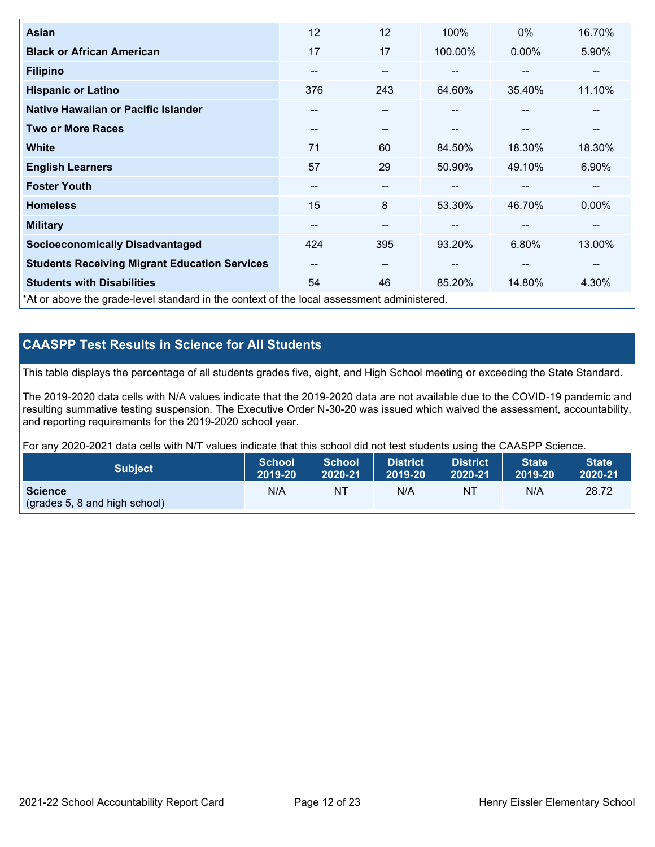| <b>Asian</b>                                                                               | 12                       | 12    | 100%    | $0\%$  | 16.70% |
|--------------------------------------------------------------------------------------------|--------------------------|-------|---------|--------|--------|
| <b>Black or African American</b>                                                           | 17                       | 17    | 100.00% | 0.00%  | 5.90%  |
| <b>Filipino</b>                                                                            | $\overline{\phantom{m}}$ | $- -$ | --      | --     | --     |
| <b>Hispanic or Latino</b>                                                                  | 376                      | 243   | 64.60%  | 35.40% | 11.10% |
| Native Hawaiian or Pacific Islander                                                        | --                       | --    | --      | --     | $-$    |
| <b>Two or More Races</b>                                                                   | $\overline{\phantom{m}}$ | --    | --      | --     | --     |
| <b>White</b>                                                                               | 71                       | 60    | 84.50%  | 18.30% | 18.30% |
| <b>English Learners</b>                                                                    | 57                       | 29    | 50.90%  | 49.10% | 6.90%  |
| <b>Foster Youth</b>                                                                        | --                       | $- -$ | --      | --     | --     |
| <b>Homeless</b>                                                                            | 15                       | 8     | 53.30%  | 46.70% | 0.00%  |
| <b>Military</b>                                                                            | --                       | --    | $- -$   | --     | --     |
| <b>Socioeconomically Disadvantaged</b>                                                     | 424                      | 395   | 93.20%  | 6.80%  | 13.00% |
| <b>Students Receiving Migrant Education Services</b>                                       | $\overline{\phantom{m}}$ | --    | $- -$   | --     | --     |
| <b>Students with Disabilities</b>                                                          | 54                       | 46    | 85.20%  | 14.80% | 4.30%  |
| *At or above the grade-level standard in the context of the local assessment administered. |                          |       |         |        |        |

## **CAASPP Test Results in Science for All Students**

This table displays the percentage of all students grades five, eight, and High School meeting or exceeding the State Standard.

The 2019-2020 data cells with N/A values indicate that the 2019-2020 data are not available due to the COVID-19 pandemic and resulting summative testing suspension. The Executive Order N-30-20 was issued which waived the assessment, accountability, and reporting requirements for the 2019-2020 school year.

For any 2020-2021 data cells with N/T values indicate that this school did not test students using the CAASPP Science.

| <b>Subject</b>                                                  | <b>School</b> | <b>School</b> | <b>District</b> | District | <b>State</b> | <b>State</b> |
|-----------------------------------------------------------------|---------------|---------------|-----------------|----------|--------------|--------------|
|                                                                 | 2019-20       | 2020-21       | 2019-20         | 2020-21  | 2019-20      | 2020-21      |
| <b>Science</b><br>$\sqrt{(grades 5, 8 \text{ and high school)}$ | N/A           | NT            | N/A             | NT       | N/A          | 28.72        |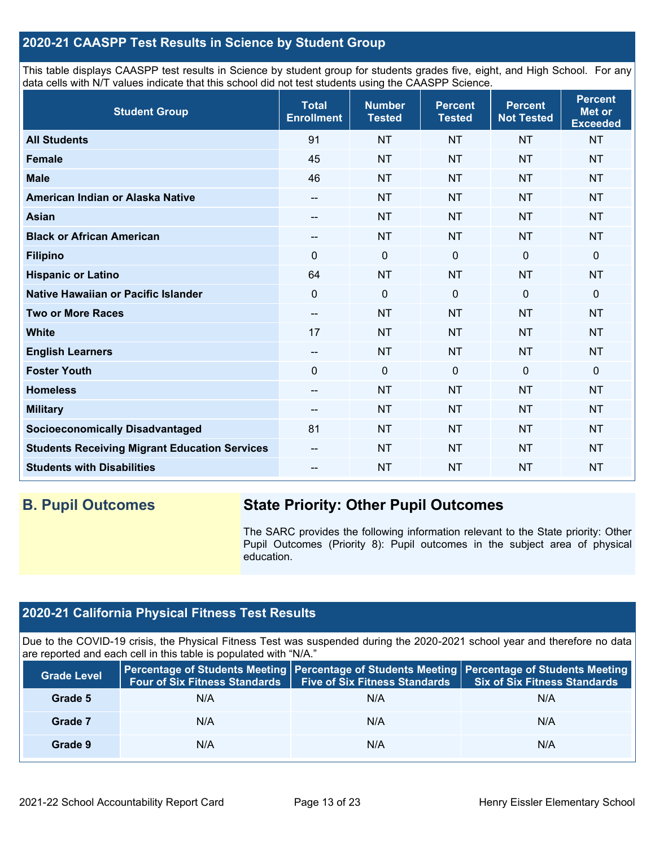## **2020-21 CAASPP Test Results in Science by Student Group**

This table displays CAASPP test results in Science by student group for students grades five, eight, and High School. For any data cells with N/T values indicate that this school did not test students using the CAASPP Science.

| <b>Student Group</b>                                 | <b>Total</b><br><b>Enrollment</b> | <b>Number</b><br><b>Tested</b> | <b>Percent</b><br><b>Tested</b> | <b>Percent</b><br><b>Not Tested</b> | <b>Percent</b><br><b>Met or</b><br><b>Exceeded</b> |
|------------------------------------------------------|-----------------------------------|--------------------------------|---------------------------------|-------------------------------------|----------------------------------------------------|
| <b>All Students</b>                                  | 91                                | <b>NT</b>                      | <b>NT</b>                       | <b>NT</b>                           | <b>NT</b>                                          |
| <b>Female</b>                                        | 45                                | <b>NT</b>                      | <b>NT</b>                       | <b>NT</b>                           | <b>NT</b>                                          |
| <b>Male</b>                                          | 46                                | <b>NT</b>                      | <b>NT</b>                       | <b>NT</b>                           | <b>NT</b>                                          |
| American Indian or Alaska Native                     | $\qquad \qquad -$                 | <b>NT</b>                      | <b>NT</b>                       | <b>NT</b>                           | <b>NT</b>                                          |
| <b>Asian</b>                                         | --                                | <b>NT</b>                      | <b>NT</b>                       | <b>NT</b>                           | <b>NT</b>                                          |
| <b>Black or African American</b>                     | --                                | <b>NT</b>                      | <b>NT</b>                       | <b>NT</b>                           | <b>NT</b>                                          |
| <b>Filipino</b>                                      | $\Omega$                          | $\mathbf 0$                    | $\Omega$                        | $\mathbf{0}$                        | $\mathbf 0$                                        |
| <b>Hispanic or Latino</b>                            | 64                                | <b>NT</b>                      | <b>NT</b>                       | <b>NT</b>                           | <b>NT</b>                                          |
| Native Hawaiian or Pacific Islander                  | $\mathbf 0$                       | $\mathbf 0$                    | $\Omega$                        | $\mathbf 0$                         | $\mathbf 0$                                        |
| <b>Two or More Races</b>                             | $-$                               | <b>NT</b>                      | <b>NT</b>                       | <b>NT</b>                           | <b>NT</b>                                          |
| <b>White</b>                                         | 17                                | <b>NT</b>                      | <b>NT</b>                       | <b>NT</b>                           | <b>NT</b>                                          |
| <b>English Learners</b>                              | --                                | <b>NT</b>                      | <b>NT</b>                       | <b>NT</b>                           | <b>NT</b>                                          |
| <b>Foster Youth</b>                                  | $\mathbf 0$                       | $\mathbf 0$                    | $\mathbf 0$                     | $\mathbf 0$                         | $\mathbf 0$                                        |
| <b>Homeless</b>                                      | $\overline{\phantom{a}}$          | <b>NT</b>                      | <b>NT</b>                       | <b>NT</b>                           | <b>NT</b>                                          |
| <b>Military</b>                                      | --                                | <b>NT</b>                      | <b>NT</b>                       | <b>NT</b>                           | <b>NT</b>                                          |
| <b>Socioeconomically Disadvantaged</b>               | 81                                | <b>NT</b>                      | <b>NT</b>                       | <b>NT</b>                           | <b>NT</b>                                          |
| <b>Students Receiving Migrant Education Services</b> | --                                | <b>NT</b>                      | <b>NT</b>                       | <b>NT</b>                           | <b>NT</b>                                          |
| <b>Students with Disabilities</b>                    | --                                | <b>NT</b>                      | <b>NT</b>                       | <b>NT</b>                           | <b>NT</b>                                          |

## **B. Pupil Outcomes State Priority: Other Pupil Outcomes**

The SARC provides the following information relevant to the State priority: Other Pupil Outcomes (Priority 8): Pupil outcomes in the subject area of physical education.

## **2020-21 California Physical Fitness Test Results**

Due to the COVID-19 crisis, the Physical Fitness Test was suspended during the 2020-2021 school year and therefore no data are reported and each cell in this table is populated with "N/A."

| <b>Grade Level</b> | <b>Four of Six Fitness Standards</b> | <b>Five of Six Fitness Standards</b> | Percentage of Students Meeting   Percentage of Students Meeting   Percentage of Students Meeting<br><b>Six of Six Fitness Standards</b> |
|--------------------|--------------------------------------|--------------------------------------|-----------------------------------------------------------------------------------------------------------------------------------------|
| Grade 5            | N/A                                  | N/A                                  | N/A                                                                                                                                     |
| Grade 7            | N/A                                  | N/A                                  | N/A                                                                                                                                     |
| Grade 9            | N/A                                  | N/A                                  | N/A                                                                                                                                     |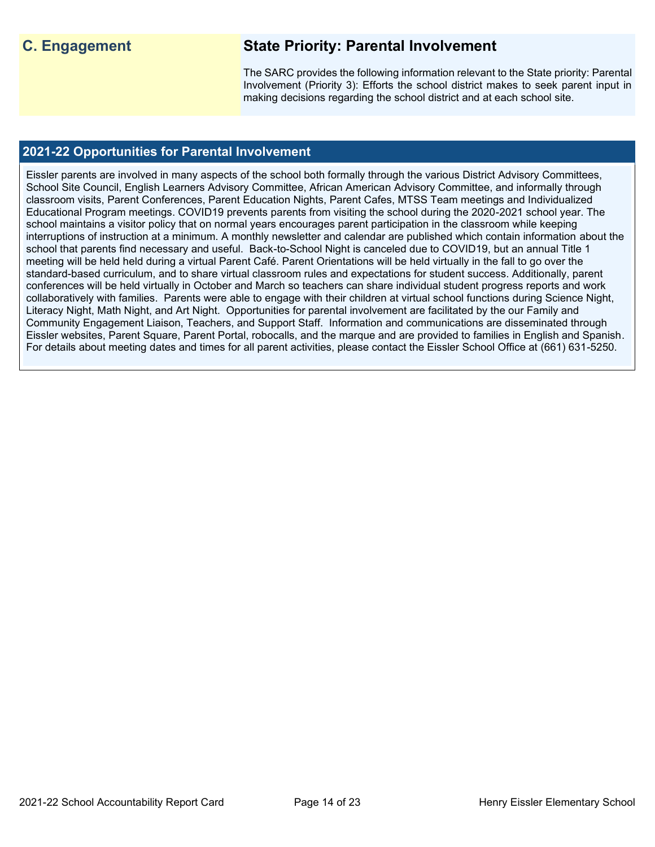## **C. Engagement State Priority: Parental Involvement**

The SARC provides the following information relevant to the State priority: Parental Involvement (Priority 3): Efforts the school district makes to seek parent input in making decisions regarding the school district and at each school site.

## **2021-22 Opportunities for Parental Involvement**

Eissler parents are involved in many aspects of the school both formally through the various District Advisory Committees, School Site Council, English Learners Advisory Committee, African American Advisory Committee, and informally through classroom visits, Parent Conferences, Parent Education Nights, Parent Cafes, MTSS Team meetings and Individualized Educational Program meetings. COVID19 prevents parents from visiting the school during the 2020-2021 school year. The school maintains a visitor policy that on normal years encourages parent participation in the classroom while keeping interruptions of instruction at a minimum. A monthly newsletter and calendar are published which contain information about the school that parents find necessary and useful. Back-to-School Night is canceled due to COVID19, but an annual Title 1 meeting will be held held during a virtual Parent Café. Parent Orientations will be held virtually in the fall to go over the standard-based curriculum, and to share virtual classroom rules and expectations for student success. Additionally, parent conferences will be held virtually in October and March so teachers can share individual student progress reports and work collaboratively with families. Parents were able to engage with their children at virtual school functions during Science Night, Literacy Night, Math Night, and Art Night. Opportunities for parental involvement are facilitated by the our Family and Community Engagement Liaison, Teachers, and Support Staff. Information and communications are disseminated through Eissler websites, Parent Square, Parent Portal, robocalls, and the marque and are provided to families in English and Spanish. For details about meeting dates and times for all parent activities, please contact the Eissler School Office at (661) 631-5250.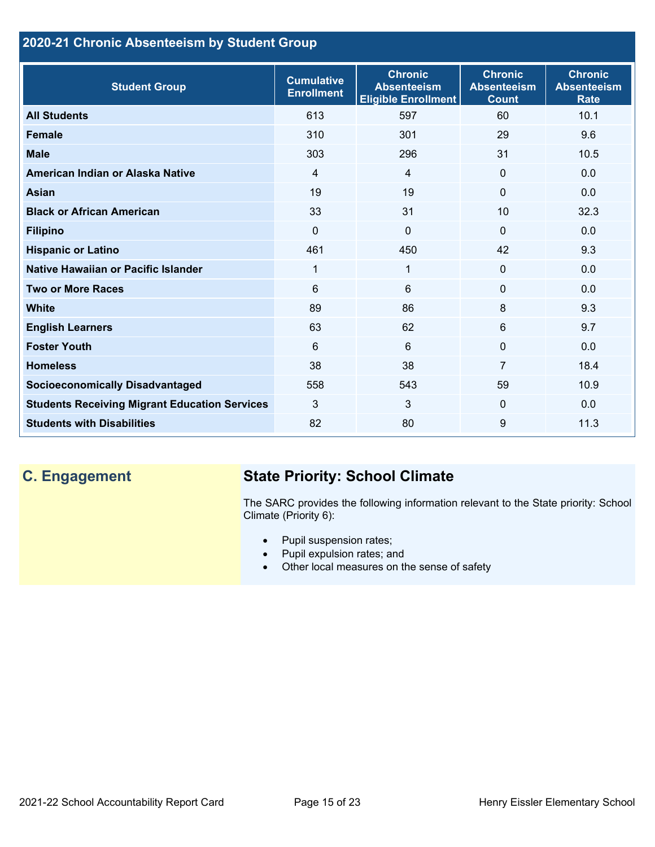## **2020-21 Chronic Absenteeism by Student Group**

| <b>Student Group</b>                                 | <b>Cumulative</b><br><b>Enrollment</b> | <b>Chronic</b><br><b>Absenteeism</b><br><b>Eligible Enrollment</b> | <b>Chronic</b><br><b>Absenteeism</b><br><b>Count</b> | <b>Chronic</b><br><b>Absenteeism</b><br><b>Rate</b> |
|------------------------------------------------------|----------------------------------------|--------------------------------------------------------------------|------------------------------------------------------|-----------------------------------------------------|
| <b>All Students</b>                                  | 613                                    | 597                                                                | 60                                                   | 10.1                                                |
| <b>Female</b>                                        | 310                                    | 301                                                                | 29                                                   | 9.6                                                 |
| <b>Male</b>                                          | 303                                    | 296                                                                | 31                                                   | 10.5                                                |
| American Indian or Alaska Native                     | $\overline{4}$                         | 4                                                                  | $\mathbf{0}$                                         | 0.0                                                 |
| <b>Asian</b>                                         | 19                                     | 19                                                                 | $\mathbf{0}$                                         | 0.0                                                 |
| <b>Black or African American</b>                     | 33                                     | 31                                                                 | 10                                                   | 32.3                                                |
| <b>Filipino</b>                                      | $\mathbf{0}$                           | $\mathbf 0$                                                        | $\Omega$                                             | 0.0                                                 |
| <b>Hispanic or Latino</b>                            | 461                                    | 450                                                                | 42                                                   | 9.3                                                 |
| <b>Native Hawaiian or Pacific Islander</b>           | 1                                      | 1                                                                  | $\mathbf 0$                                          | 0.0                                                 |
| <b>Two or More Races</b>                             | 6                                      | 6                                                                  | $\mathbf 0$                                          | 0.0                                                 |
| <b>White</b>                                         | 89                                     | 86                                                                 | 8                                                    | 9.3                                                 |
| <b>English Learners</b>                              | 63                                     | 62                                                                 | 6                                                    | 9.7                                                 |
| <b>Foster Youth</b>                                  | 6                                      | 6                                                                  | $\mathbf{0}$                                         | 0.0                                                 |
| <b>Homeless</b>                                      | 38                                     | 38                                                                 | $\overline{7}$                                       | 18.4                                                |
| <b>Socioeconomically Disadvantaged</b>               | 558                                    | 543                                                                | 59                                                   | 10.9                                                |
| <b>Students Receiving Migrant Education Services</b> | 3                                      | 3                                                                  | $\mathbf{0}$                                         | 0.0                                                 |
| <b>Students with Disabilities</b>                    | 82                                     | 80                                                                 | 9                                                    | 11.3                                                |

## **C. Engagement State Priority: School Climate**

The SARC provides the following information relevant to the State priority: School Climate (Priority 6):

- Pupil suspension rates;
- Pupil expulsion rates; and
- Other local measures on the sense of safety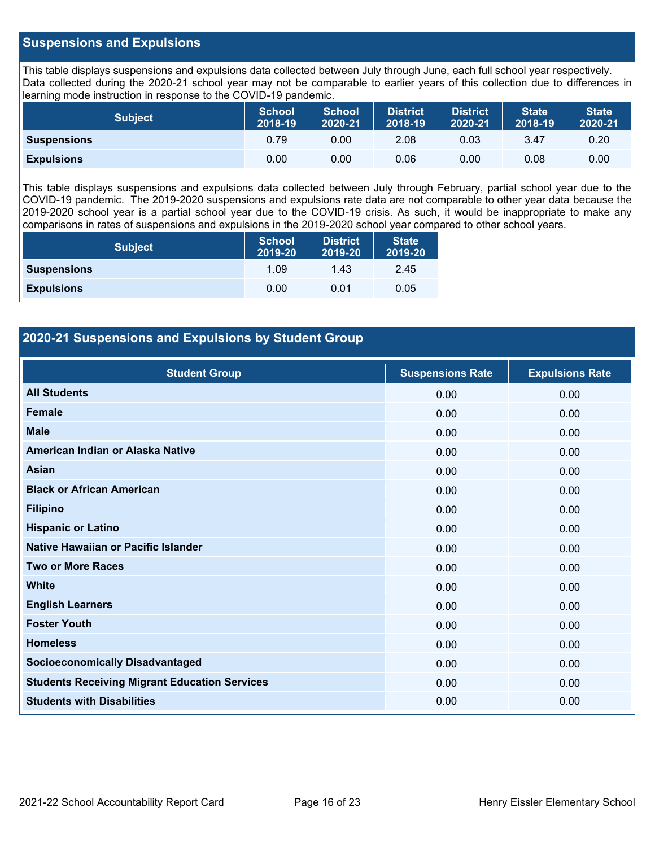### **Suspensions and Expulsions**

This table displays suspensions and expulsions data collected between July through June, each full school year respectively. Data collected during the 2020-21 school year may not be comparable to earlier years of this collection due to differences in learning mode instruction in response to the COVID-19 pandemic.

| <b>Subject</b>     | <b>School</b><br>2018-19 | <b>School</b><br>2020-21 | <b>District</b><br>2018-19 | <b>District</b><br>2020-21 | <b>State</b><br>2018-19 | <b>State</b><br>2020-21 |
|--------------------|--------------------------|--------------------------|----------------------------|----------------------------|-------------------------|-------------------------|
| <b>Suspensions</b> | 0.79                     | 0.00                     | 2.08                       | 0.03                       | 3.47                    | 0.20                    |
| <b>Expulsions</b>  | 0.00                     | 0.00                     | 0.06                       | 0.00                       | 0.08                    | 0.00                    |

This table displays suspensions and expulsions data collected between July through February, partial school year due to the COVID-19 pandemic. The 2019-2020 suspensions and expulsions rate data are not comparable to other year data because the 2019-2020 school year is a partial school year due to the COVID-19 crisis. As such, it would be inappropriate to make any comparisons in rates of suspensions and expulsions in the 2019-2020 school year compared to other school years.

| <b>Subject</b>     | School<br>2019-20 | <b>District</b><br>2019-20 | <b>State</b><br>2019-20 |
|--------------------|-------------------|----------------------------|-------------------------|
| <b>Suspensions</b> | 1.09              | 1.43                       | 2.45                    |
| <b>Expulsions</b>  | 0.00              | 0.01                       | 0.05                    |

## **2020-21 Suspensions and Expulsions by Student Group**

| <b>Student Group</b>                                 | <b>Suspensions Rate</b> | <b>Expulsions Rate</b> |
|------------------------------------------------------|-------------------------|------------------------|
| <b>All Students</b>                                  | 0.00                    | 0.00                   |
| <b>Female</b>                                        | 0.00                    | 0.00                   |
| <b>Male</b>                                          | 0.00                    | 0.00                   |
| American Indian or Alaska Native                     | 0.00                    | 0.00                   |
| <b>Asian</b>                                         | 0.00                    | 0.00                   |
| <b>Black or African American</b>                     | 0.00                    | 0.00                   |
| <b>Filipino</b>                                      | 0.00                    | 0.00                   |
| <b>Hispanic or Latino</b>                            | 0.00                    | 0.00                   |
| Native Hawaiian or Pacific Islander                  | 0.00                    | 0.00                   |
| <b>Two or More Races</b>                             | 0.00                    | 0.00                   |
| <b>White</b>                                         | 0.00                    | 0.00                   |
| <b>English Learners</b>                              | 0.00                    | 0.00                   |
| <b>Foster Youth</b>                                  | 0.00                    | 0.00                   |
| <b>Homeless</b>                                      | 0.00                    | 0.00                   |
| <b>Socioeconomically Disadvantaged</b>               | 0.00                    | 0.00                   |
| <b>Students Receiving Migrant Education Services</b> | 0.00                    | 0.00                   |
| <b>Students with Disabilities</b>                    | 0.00                    | 0.00                   |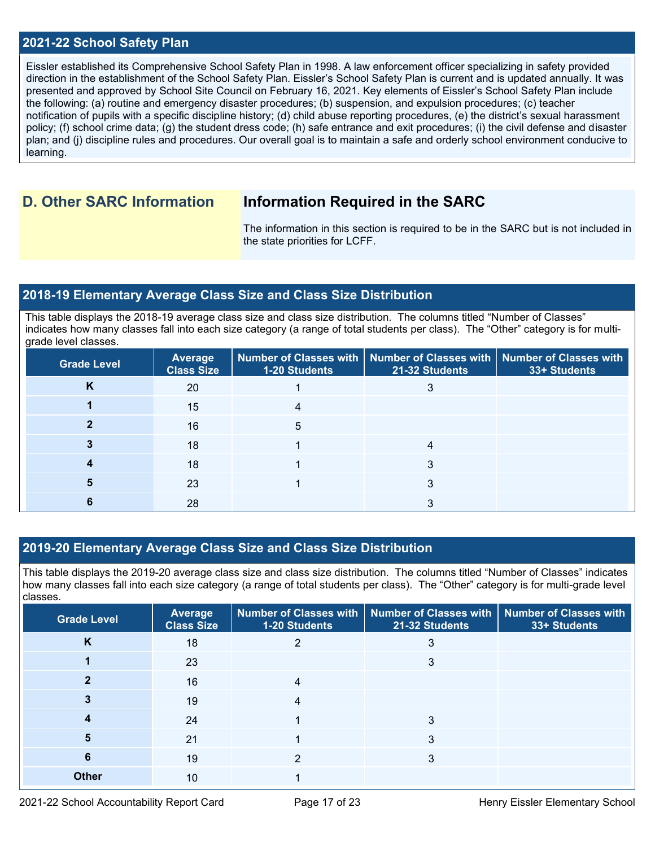### **2021-22 School Safety Plan**

Eissler established its Comprehensive School Safety Plan in 1998. A law enforcement officer specializing in safety provided direction in the establishment of the School Safety Plan. Eissler's School Safety Plan is current and is updated annually. It was presented and approved by School Site Council on February 16, 2021. Key elements of Eissler's School Safety Plan include the following: (a) routine and emergency disaster procedures; (b) suspension, and expulsion procedures; (c) teacher notification of pupils with a specific discipline history; (d) child abuse reporting procedures, (e) the district's sexual harassment policy; (f) school crime data; (g) the student dress code; (h) safe entrance and exit procedures; (i) the civil defense and disaster plan; and (j) discipline rules and procedures. Our overall goal is to maintain a safe and orderly school environment conducive to learning.

## **D. Other SARC Information Information Required in the SARC**

The information in this section is required to be in the SARC but is not included in the state priorities for LCFF.

### **2018-19 Elementary Average Class Size and Class Size Distribution**

This table displays the 2018-19 average class size and class size distribution. The columns titled "Number of Classes" indicates how many classes fall into each size category (a range of total students per class). The "Other" category is for multigrade level classes.

| <b>Grade Level</b> | <b>Average</b><br><b>Class Size</b> | <b>1-20 Students</b> | Number of Classes with   Number of Classes with   Number of Classes with<br>21-32 Students | 33+ Students |
|--------------------|-------------------------------------|----------------------|--------------------------------------------------------------------------------------------|--------------|
| κ                  | 20                                  |                      |                                                                                            |              |
|                    | 15                                  |                      |                                                                                            |              |
|                    | 16                                  | 5                    |                                                                                            |              |
|                    | 18                                  |                      | 4                                                                                          |              |
|                    | 18                                  |                      |                                                                                            |              |
|                    | 23                                  |                      | З                                                                                          |              |
|                    | 28                                  |                      |                                                                                            |              |

## **2019-20 Elementary Average Class Size and Class Size Distribution**

This table displays the 2019-20 average class size and class size distribution. The columns titled "Number of Classes" indicates how many classes fall into each size category (a range of total students per class). The "Other" category is for multi-grade level classes.

| <b>Grade Level</b> | Average<br><b>Class Size</b> | 1-20 Students  | Number of Classes with   Number of Classes with  <br>21-32 Students | <b>Number of Classes with</b><br>33+ Students |
|--------------------|------------------------------|----------------|---------------------------------------------------------------------|-----------------------------------------------|
| K                  | 18                           | 2              | 3                                                                   |                                               |
|                    | 23                           |                | 3                                                                   |                                               |
|                    | 16                           | $\overline{4}$ |                                                                     |                                               |
|                    | 19                           | 4              |                                                                     |                                               |
|                    | 24                           |                | 3                                                                   |                                               |
| 5                  | 21                           |                | 3                                                                   |                                               |
| 6                  | 19                           | っ              | 3                                                                   |                                               |
| <b>Other</b>       | 10                           |                |                                                                     |                                               |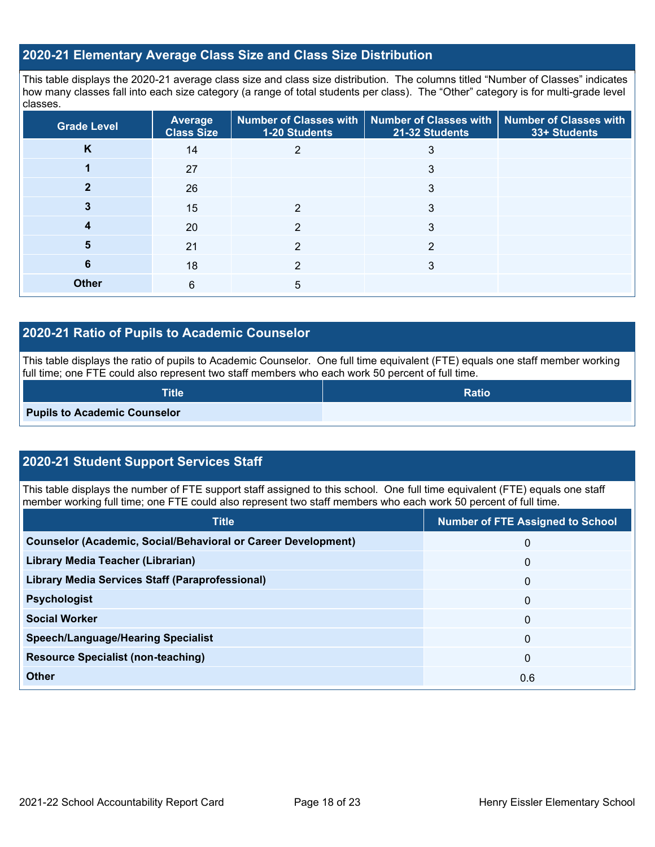## **2020-21 Elementary Average Class Size and Class Size Distribution**

This table displays the 2020-21 average class size and class size distribution. The columns titled "Number of Classes" indicates how many classes fall into each size category (a range of total students per class). The "Other" category is for multi-grade level classes.

| <b>Grade Level</b> | Average<br><b>Class Size</b> | 1-20 Students | Number of Classes with   Number of Classes with   Number of Classes with<br>21-32 Students | 33+ Students |
|--------------------|------------------------------|---------------|--------------------------------------------------------------------------------------------|--------------|
| K                  | 14                           | 2             | 3                                                                                          |              |
|                    | 27                           |               | 3                                                                                          |              |
|                    | 26                           |               | 3                                                                                          |              |
|                    | 15                           | ≘             | 3                                                                                          |              |
| 4                  | 20                           | 2             | 3                                                                                          |              |
| 5                  | 21                           | 2             | 2                                                                                          |              |
| 6                  | 18                           | っ             | 3                                                                                          |              |
| <b>Other</b>       | 6                            | 5             |                                                                                            |              |

## **2020-21 Ratio of Pupils to Academic Counselor**

This table displays the ratio of pupils to Academic Counselor. One full time equivalent (FTE) equals one staff member working full time; one FTE could also represent two staff members who each work 50 percent of full time.

| Title                               | <b>Ratio</b> |
|-------------------------------------|--------------|
| <b>Pupils to Academic Counselor</b> |              |

## **2020-21 Student Support Services Staff**

This table displays the number of FTE support staff assigned to this school. One full time equivalent (FTE) equals one staff member working full time; one FTE could also represent two staff members who each work 50 percent of full time.

| <b>Title</b>                                                         | <b>Number of FTE Assigned to School</b> |
|----------------------------------------------------------------------|-----------------------------------------|
| <b>Counselor (Academic, Social/Behavioral or Career Development)</b> | $\mathbf{0}$                            |
| Library Media Teacher (Librarian)                                    | $\mathbf 0$                             |
| <b>Library Media Services Staff (Paraprofessional)</b>               | $\mathbf{0}$                            |
| <b>Psychologist</b>                                                  | $\mathbf{0}$                            |
| <b>Social Worker</b>                                                 | $\mathbf{0}$                            |
| <b>Speech/Language/Hearing Specialist</b>                            | $\mathbf{0}$                            |
| <b>Resource Specialist (non-teaching)</b>                            | $\mathbf{0}$                            |
| <b>Other</b>                                                         | 0.6                                     |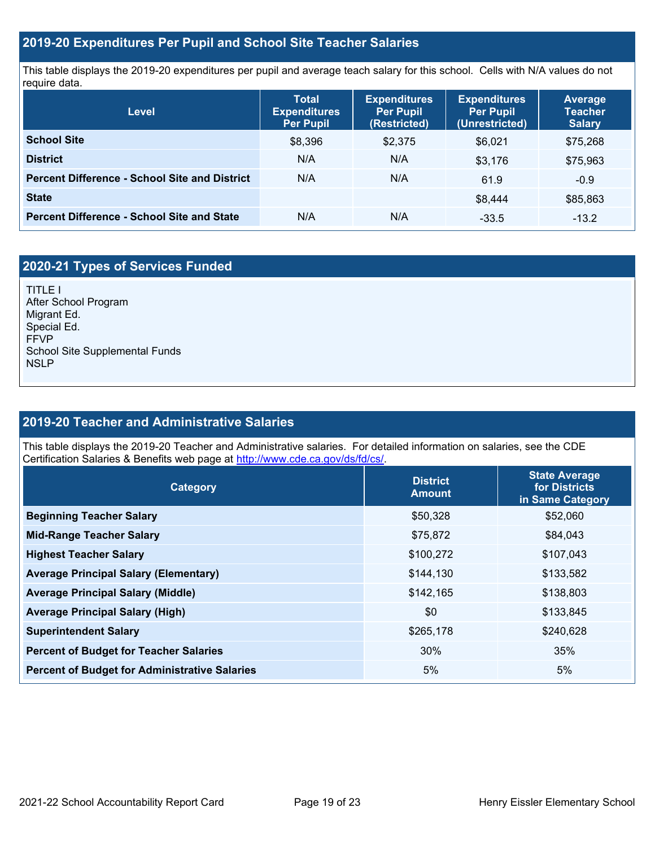### **2019-20 Expenditures Per Pupil and School Site Teacher Salaries**

This table displays the 2019-20 expenditures per pupil and average teach salary for this school. Cells with N/A values do not require data.

| Level                                                | <b>Total</b><br><b>Expenditures</b><br><b>Per Pupil</b> | <b>Expenditures</b><br><b>Per Pupil</b><br>(Restricted) | <b>Expenditures</b><br><b>Per Pupil</b><br>(Unrestricted) | <b>Average</b><br><b>Teacher</b><br><b>Salary</b> |
|------------------------------------------------------|---------------------------------------------------------|---------------------------------------------------------|-----------------------------------------------------------|---------------------------------------------------|
| <b>School Site</b>                                   | \$8,396                                                 | \$2,375                                                 | \$6.021                                                   | \$75,268                                          |
| <b>District</b>                                      | N/A                                                     | N/A                                                     | \$3.176                                                   | \$75,963                                          |
| <b>Percent Difference - School Site and District</b> | N/A                                                     | N/A                                                     | 61.9                                                      | $-0.9$                                            |
| <b>State</b>                                         |                                                         |                                                         | \$8,444                                                   | \$85,863                                          |
| <b>Percent Difference - School Site and State</b>    | N/A                                                     | N/A                                                     | $-33.5$                                                   | $-13.2$                                           |

## **2020-21 Types of Services Funded**

TITLE I After School Program Migrant Ed. Special Ed. FFVP School Site Supplemental Funds NSLP

### **2019-20 Teacher and Administrative Salaries**

This table displays the 2019-20 Teacher and Administrative salaries. For detailed information on salaries, see the CDE Certification Salaries & Benefits web page at [http://www.cde.ca.gov/ds/fd/cs/.](http://www.cde.ca.gov/ds/fd/cs/)

| Category                                             | <b>District</b><br><b>Amount</b> | <b>State Average</b><br>for Districts<br>in Same Category |
|------------------------------------------------------|----------------------------------|-----------------------------------------------------------|
| <b>Beginning Teacher Salary</b>                      | \$50,328                         | \$52,060                                                  |
| <b>Mid-Range Teacher Salary</b>                      | \$75,872                         | \$84,043                                                  |
| <b>Highest Teacher Salary</b>                        | \$100,272                        | \$107,043                                                 |
| <b>Average Principal Salary (Elementary)</b>         | \$144,130                        | \$133,582                                                 |
| <b>Average Principal Salary (Middle)</b>             | \$142,165                        | \$138,803                                                 |
| <b>Average Principal Salary (High)</b>               | \$0                              | \$133,845                                                 |
| <b>Superintendent Salary</b>                         | \$265,178                        | \$240,628                                                 |
| <b>Percent of Budget for Teacher Salaries</b>        | 30%                              | 35%                                                       |
| <b>Percent of Budget for Administrative Salaries</b> | 5%                               | 5%                                                        |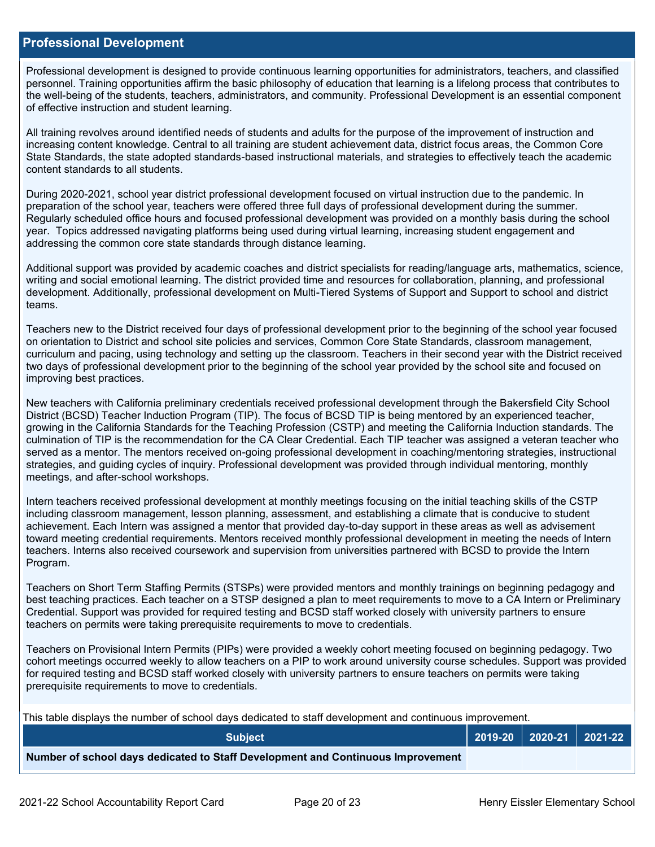### **Professional Development**

Professional development is designed to provide continuous learning opportunities for administrators, teachers, and classified personnel. Training opportunities affirm the basic philosophy of education that learning is a lifelong process that contributes to the well-being of the students, teachers, administrators, and community. Professional Development is an essential component of effective instruction and student learning.

All training revolves around identified needs of students and adults for the purpose of the improvement of instruction and increasing content knowledge. Central to all training are student achievement data, district focus areas, the Common Core State Standards, the state adopted standards-based instructional materials, and strategies to effectively teach the academic content standards to all students.

During 2020-2021, school year district professional development focused on virtual instruction due to the pandemic. In preparation of the school year, teachers were offered three full days of professional development during the summer. Regularly scheduled office hours and focused professional development was provided on a monthly basis during the school year. Topics addressed navigating platforms being used during virtual learning, increasing student engagement and addressing the common core state standards through distance learning.

Additional support was provided by academic coaches and district specialists for reading/language arts, mathematics, science, writing and social emotional learning. The district provided time and resources for collaboration, planning, and professional development. Additionally, professional development on Multi-Tiered Systems of Support and Support to school and district teams.

Teachers new to the District received four days of professional development prior to the beginning of the school year focused on orientation to District and school site policies and services, Common Core State Standards, classroom management, curriculum and pacing, using technology and setting up the classroom. Teachers in their second year with the District received two days of professional development prior to the beginning of the school year provided by the school site and focused on improving best practices.

New teachers with California preliminary credentials received professional development through the Bakersfield City School District (BCSD) Teacher Induction Program (TIP). The focus of BCSD TIP is being mentored by an experienced teacher, growing in the California Standards for the Teaching Profession (CSTP) and meeting the California Induction standards. The culmination of TIP is the recommendation for the CA Clear Credential. Each TIP teacher was assigned a veteran teacher who served as a mentor. The mentors received on-going professional development in coaching/mentoring strategies, instructional strategies, and guiding cycles of inquiry. Professional development was provided through individual mentoring, monthly meetings, and after-school workshops.

Intern teachers received professional development at monthly meetings focusing on the initial teaching skills of the CSTP including classroom management, lesson planning, assessment, and establishing a climate that is conducive to student achievement. Each Intern was assigned a mentor that provided day-to-day support in these areas as well as advisement toward meeting credential requirements. Mentors received monthly professional development in meeting the needs of Intern teachers. Interns also received coursework and supervision from universities partnered with BCSD to provide the Intern Program.

Teachers on Short Term Staffing Permits (STSPs) were provided mentors and monthly trainings on beginning pedagogy and best teaching practices. Each teacher on a STSP designed a plan to meet requirements to move to a CA Intern or Preliminary Credential. Support was provided for required testing and BCSD staff worked closely with university partners to ensure teachers on permits were taking prerequisite requirements to move to credentials.

Teachers on Provisional Intern Permits (PIPs) were provided a weekly cohort meeting focused on beginning pedagogy. Two cohort meetings occurred weekly to allow teachers on a PIP to work around university course schedules. Support was provided for required testing and BCSD staff worked closely with university partners to ensure teachers on permits were taking prerequisite requirements to move to credentials.

This table displays the number of school days dedicated to staff development and continuous improvement.

| <b>Subiect</b>                                                                  |  | $\vert$ 2019-20 $\vert$ 2020-21 $\vert$ 2021-22 $\vert$ |
|---------------------------------------------------------------------------------|--|---------------------------------------------------------|
| Number of school days dedicated to Staff Development and Continuous Improvement |  |                                                         |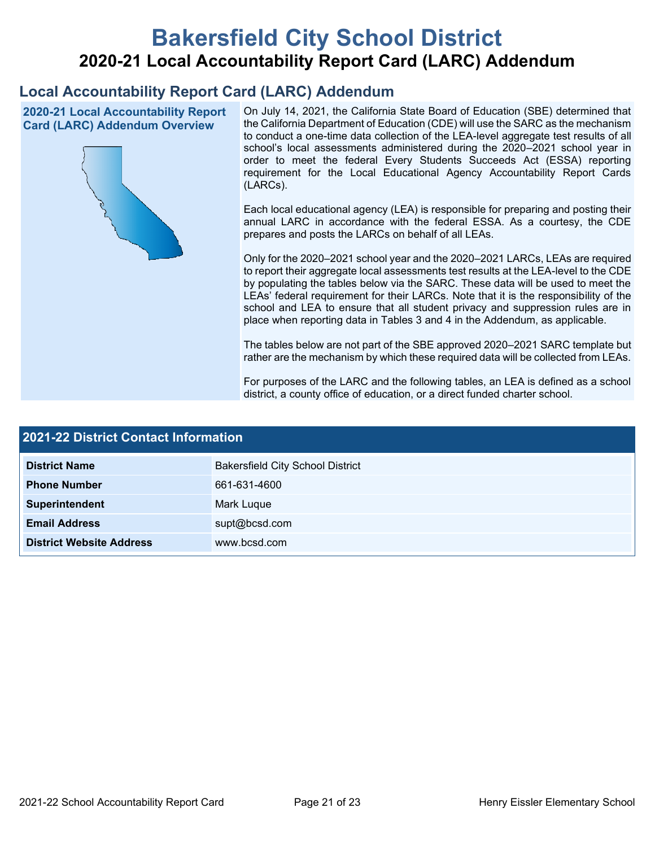# **Bakersfield City School District 2020-21 Local Accountability Report Card (LARC) Addendum**

## **Local Accountability Report Card (LARC) Addendum**

**2020-21 Local Accountability Report Card (LARC) Addendum Overview**



On July 14, 2021, the California State Board of Education (SBE) determined that the California Department of Education (CDE) will use the SARC as the mechanism to conduct a one-time data collection of the LEA-level aggregate test results of all school's local assessments administered during the 2020–2021 school year in order to meet the federal Every Students Succeeds Act (ESSA) reporting requirement for the Local Educational Agency Accountability Report Cards (LARCs).

Each local educational agency (LEA) is responsible for preparing and posting their annual LARC in accordance with the federal ESSA. As a courtesy, the CDE prepares and posts the LARCs on behalf of all LEAs.

Only for the 2020–2021 school year and the 2020–2021 LARCs, LEAs are required to report their aggregate local assessments test results at the LEA-level to the CDE by populating the tables below via the SARC. These data will be used to meet the LEAs' federal requirement for their LARCs. Note that it is the responsibility of the school and LEA to ensure that all student privacy and suppression rules are in place when reporting data in Tables 3 and 4 in the Addendum, as applicable.

The tables below are not part of the SBE approved 2020–2021 SARC template but rather are the mechanism by which these required data will be collected from LEAs.

For purposes of the LARC and the following tables, an LEA is defined as a school district, a county office of education, or a direct funded charter school.

| <b>2021-22 District Contact Information</b> |                                         |  |  |  |
|---------------------------------------------|-----------------------------------------|--|--|--|
| <b>District Name</b>                        | <b>Bakersfield City School District</b> |  |  |  |
| <b>Phone Number</b>                         | 661-631-4600                            |  |  |  |
| Superintendent                              | Mark Luque                              |  |  |  |
| <b>Email Address</b>                        | supt@bcsd.com                           |  |  |  |
| <b>District Website Address</b>             | www.bcsd.com                            |  |  |  |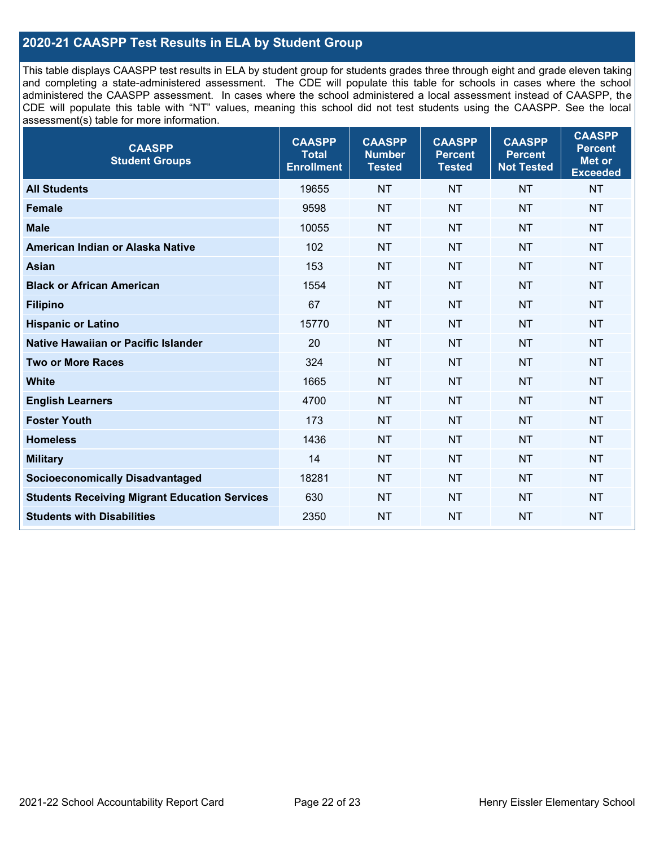## **2020-21 CAASPP Test Results in ELA by Student Group**

This table displays CAASPP test results in ELA by student group for students grades three through eight and grade eleven taking and completing a state-administered assessment. The CDE will populate this table for schools in cases where the school administered the CAASPP assessment. In cases where the school administered a local assessment instead of CAASPP, the CDE will populate this table with "NT" values, meaning this school did not test students using the CAASPP. See the local assessment(s) table for more information.

| <b>CAASPP</b><br><b>Student Groups</b>               | <b>CAASPP</b><br><b>Total</b><br><b>Enrollment</b> | <b>CAASPP</b><br><b>Number</b><br><b>Tested</b> | <b>CAASPP</b><br><b>Percent</b><br><b>Tested</b> | <b>CAASPP</b><br><b>Percent</b><br><b>Not Tested</b> | <b>CAASPP</b><br><b>Percent</b><br>Met or<br><b>Exceeded</b> |
|------------------------------------------------------|----------------------------------------------------|-------------------------------------------------|--------------------------------------------------|------------------------------------------------------|--------------------------------------------------------------|
| <b>All Students</b>                                  | 19655                                              | <b>NT</b>                                       | <b>NT</b>                                        | <b>NT</b>                                            | <b>NT</b>                                                    |
| <b>Female</b>                                        | 9598                                               | <b>NT</b>                                       | <b>NT</b>                                        | <b>NT</b>                                            | <b>NT</b>                                                    |
| <b>Male</b>                                          | 10055                                              | <b>NT</b>                                       | <b>NT</b>                                        | <b>NT</b>                                            | <b>NT</b>                                                    |
| American Indian or Alaska Native                     | 102                                                | <b>NT</b>                                       | <b>NT</b>                                        | <b>NT</b>                                            | <b>NT</b>                                                    |
| <b>Asian</b>                                         | 153                                                | <b>NT</b>                                       | <b>NT</b>                                        | <b>NT</b>                                            | <b>NT</b>                                                    |
| <b>Black or African American</b>                     | 1554                                               | <b>NT</b>                                       | <b>NT</b>                                        | <b>NT</b>                                            | NT                                                           |
| <b>Filipino</b>                                      | 67                                                 | <b>NT</b>                                       | <b>NT</b>                                        | <b>NT</b>                                            | <b>NT</b>                                                    |
| <b>Hispanic or Latino</b>                            | 15770                                              | <b>NT</b>                                       | <b>NT</b>                                        | <b>NT</b>                                            | <b>NT</b>                                                    |
| Native Hawaiian or Pacific Islander                  | 20                                                 | <b>NT</b>                                       | <b>NT</b>                                        | <b>NT</b>                                            | <b>NT</b>                                                    |
| <b>Two or More Races</b>                             | 324                                                | <b>NT</b>                                       | <b>NT</b>                                        | <b>NT</b>                                            | <b>NT</b>                                                    |
| <b>White</b>                                         | 1665                                               | <b>NT</b>                                       | <b>NT</b>                                        | <b>NT</b>                                            | <b>NT</b>                                                    |
| <b>English Learners</b>                              | 4700                                               | <b>NT</b>                                       | <b>NT</b>                                        | <b>NT</b>                                            | <b>NT</b>                                                    |
| <b>Foster Youth</b>                                  | 173                                                | <b>NT</b>                                       | <b>NT</b>                                        | <b>NT</b>                                            | <b>NT</b>                                                    |
| <b>Homeless</b>                                      | 1436                                               | <b>NT</b>                                       | <b>NT</b>                                        | <b>NT</b>                                            | <b>NT</b>                                                    |
| <b>Military</b>                                      | 14                                                 | <b>NT</b>                                       | <b>NT</b>                                        | <b>NT</b>                                            | <b>NT</b>                                                    |
| <b>Socioeconomically Disadvantaged</b>               | 18281                                              | <b>NT</b>                                       | <b>NT</b>                                        | <b>NT</b>                                            | <b>NT</b>                                                    |
| <b>Students Receiving Migrant Education Services</b> | 630                                                | <b>NT</b>                                       | <b>NT</b>                                        | <b>NT</b>                                            | NT                                                           |
| <b>Students with Disabilities</b>                    | 2350                                               | <b>NT</b>                                       | <b>NT</b>                                        | <b>NT</b>                                            | NT                                                           |